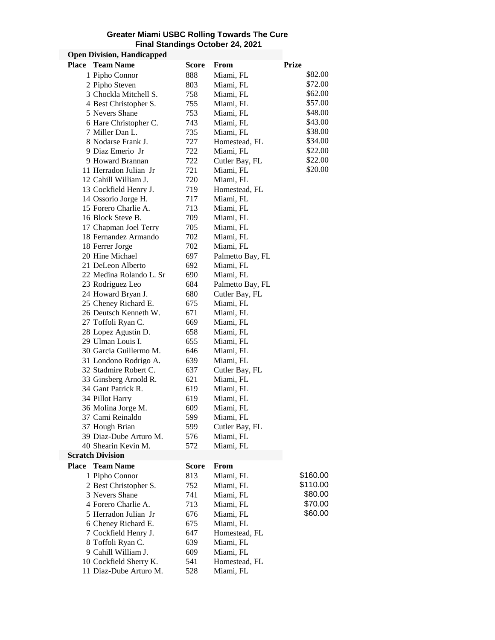## **Greater Miami USBC Rolling Towards The Cure Final Standings October 24, 2021**

## **Open Division, Handicapped**

| <b>Place</b> | <b>Team Name</b>        | <b>Score</b> | From             | <b>Prize</b> |
|--------------|-------------------------|--------------|------------------|--------------|
|              | 1 Pipho Connor          | 888          | Miami, FL        | \$82.00      |
|              | 2 Pipho Steven          | 803          | Miami, FL        | \$72.00      |
|              | 3 Chockla Mitchell S.   | 758          | Miami, FL        | \$62.00      |
|              | 4 Best Christopher S.   | 755          | Miami, FL        | \$57.00      |
|              | 5 Nevers Shane          | 753          | Miami, FL        | \$48.00      |
|              | 6 Hare Christopher C.   | 743          | Miami, FL        | \$43.00      |
|              | 7 Miller Dan L.         | 735          | Miami, FL        | \$38.00      |
|              | 8 Nodarse Frank J.      | 727          | Homestead, FL    | \$34.00      |
|              | 9 Diaz Emerio Jr        | 722          | Miami, FL        | \$22.00      |
|              | 9 Howard Brannan        | 722          | Cutler Bay, FL   | \$22.00      |
|              | 11 Herradon Julian Jr   | 721          | Miami, FL        | \$20.00      |
|              | 12 Cahill William J.    | 720          | Miami, FL        |              |
|              | 13 Cockfield Henry J.   | 719          | Homestead, FL    |              |
|              | 14 Ossorio Jorge H.     | 717          | Miami, FL        |              |
|              | 15 Forero Charlie A.    | 713          | Miami, FL        |              |
|              | 16 Block Steve B.       | 709          | Miami, FL        |              |
|              | 17 Chapman Joel Terry   | 705          | Miami, FL        |              |
|              | 18 Fernandez Armando    | 702          | Miami, FL        |              |
|              | 18 Ferrer Jorge         | 702          | Miami, FL        |              |
|              | 20 Hine Michael         | 697          | Palmetto Bay, FL |              |
|              | 21 DeLeon Alberto       | 692          | Miami, FL        |              |
|              | 22 Medina Rolando L. Sr | 690          | Miami, FL        |              |
|              | 23 Rodriguez Leo        | 684          | Palmetto Bay, FL |              |
|              | 24 Howard Bryan J.      | 680          | Cutler Bay, FL   |              |
|              | 25 Cheney Richard E.    | 675          | Miami, FL        |              |
|              | 26 Deutsch Kenneth W.   | 671          | Miami, FL        |              |
|              | 27 Toffoli Ryan C.      | 669          | Miami, FL        |              |
|              | 28 Lopez Agustin D.     | 658          | Miami, FL        |              |
|              | 29 Ulman Louis I.       | 655          | Miami, FL        |              |
|              | 30 Garcia Guillermo M.  | 646          | Miami, FL        |              |
|              | 31 Londono Rodrigo A.   | 639          | Miami, FL        |              |
|              | 32 Stadmire Robert C.   | 637          | Cutler Bay, FL   |              |
|              | 33 Ginsberg Arnold R.   | 621          | Miami, FL        |              |
|              | 34 Gant Patrick R.      | 619          | Miami, FL        |              |
|              | 34 Pillot Harry         | 619          | Miami, FL        |              |
|              | 36 Molina Jorge M.      | 609          | Miami, FL        |              |
|              | 37 Cami Reinaldo        | 599          | Miami, FL        |              |
|              | 37 Hough Brian          | 599          | Cutler Bay, FL   |              |
|              | 39 Diaz-Dube Arturo M.  | 576          | Miami, FL        |              |
|              | 40 Shearin Kevin M.     | 572          | Miami, FL        |              |
|              | <b>Scratch Division</b> |              |                  |              |
| <b>Place</b> | <b>Team Name</b>        | Score        | From             |              |
|              | 1 Pipho Connor          | 813          | Miami, FL        | \$160.00     |
|              | 2 Best Christopher S.   | 752          | Miami, FL        | \$110.00     |
|              | 3 Nevers Shane          | 741          | Miami, FL        | \$80.00      |
|              | 4 Forero Charlie A.     | 713          | Miami, FL        | \$70.00      |
|              | 5 Herradon Julian Jr    | 676          | Miami, FL        | \$60.00      |
|              | 6 Cheney Richard E.     | 675          | Miami, FL        |              |
|              | 7 Cockfield Henry J.    | 647          | Homestead, FL    |              |
|              | 8 Toffoli Ryan C.       | 639          | Miami, FL        |              |
|              | 9 Cahill William J.     | 609          | Miami, FL        |              |
|              | 10 Cockfield Sherry K.  | 541          | Homestead, FL    |              |
|              | 11 Diaz-Dube Arturo M.  | 528          | Miami, FL        |              |